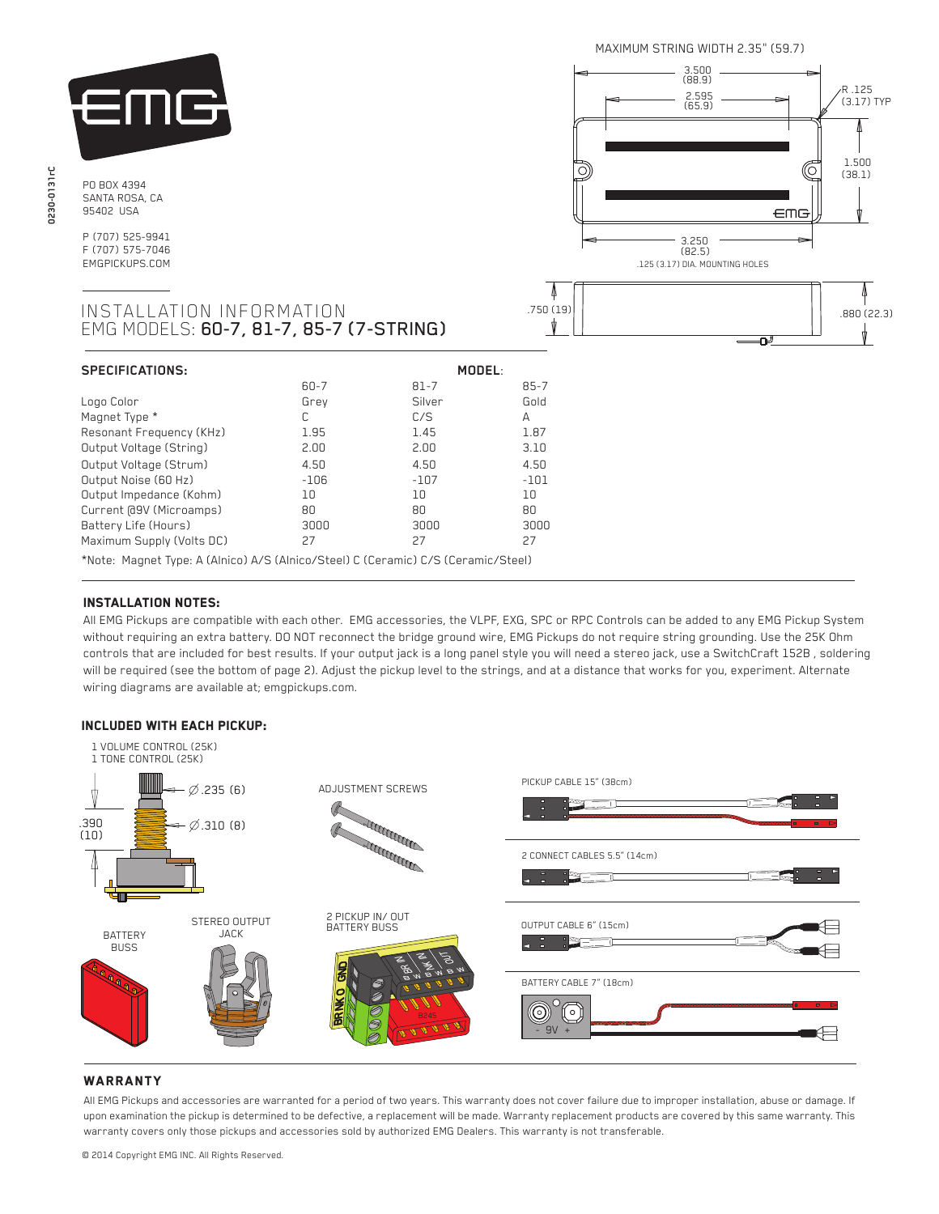

PO BOX 4394 SANTA ROSA, CA 95402 USA

P (707) 525-9941 F (707) 575-7046 EMGPICKUPS.COM





## INSTALLATION INFORMATION EMG MODELS: 60-7, 81-7, 85-7 (7-STRING)

| <b>SPECIFICATIONS:</b>                                                            | MODEL:   |          |          |
|-----------------------------------------------------------------------------------|----------|----------|----------|
|                                                                                   | $60 - 7$ | $81 - 7$ | $85 - 7$ |
| Logo Color                                                                        | Grev     | Silver   | Gold     |
| Magnet Type *                                                                     | C        | C/S      | А        |
| Resonant Frequency (KHz)                                                          | 1.95     | 1.45     | 1.87     |
| Output Voltage (String)                                                           | 2.00     | 2.00     | 3.10     |
| Output Voltage (Strum)                                                            | 4.50     | 4.50     | 4.50     |
| Output Noise (60 Hz)                                                              | $-106$   | $-107$   | $-101$   |
| Output Impedance (Kohm)                                                           | 10       | 10       | 10       |
| Current @9V (Microamps)                                                           | 80       | 80       | 80       |
| Battery Life (Hours)                                                              | 3000     | 3000     | 3000     |
| Maximum Supply (Volts DC)                                                         | 27       | 27       | 27       |
| *Note: Magnet Type: A (Alnico) A/S (Alnico/Steel) C (Ceramic) C/S (Ceramic/Steel) |          |          |          |

# Installation notes:

 $\overline{a}$ 

 All EMG Pickups are compatible with each other. EMG accessories, the VLPF, EXG, SPC or RPC Controls can be added to any EMG Pickup System without requiring an extra battery. DO NOT reconnect the bridge ground wire, EMG Pickups do not require string grounding. Use the 25K Ohm controls that are included for best results. If your output jack is a long panel style you will need a stereo jack, use a SwitchCraft 152B , soldering will be required (see the bottom of page 2). Adjust the pickup level to the strings, and at a distance that works for you, experiment. Alternate wiring diagrams are available at; emgpickups.com.

## Included with each pickup:



## **WARRANTY**

All EMG Pickups and accessories are warranted for a period of two years. This warranty does not cover failure due to improper installation, abuse or damage. If upon examination the pickup is determined to be defective, a replacement will be made. Warranty replacement products are covered by this same warranty. This warranty covers only those pickups and accessories sold by authorized EMG Dealers. This warranty is not transferable.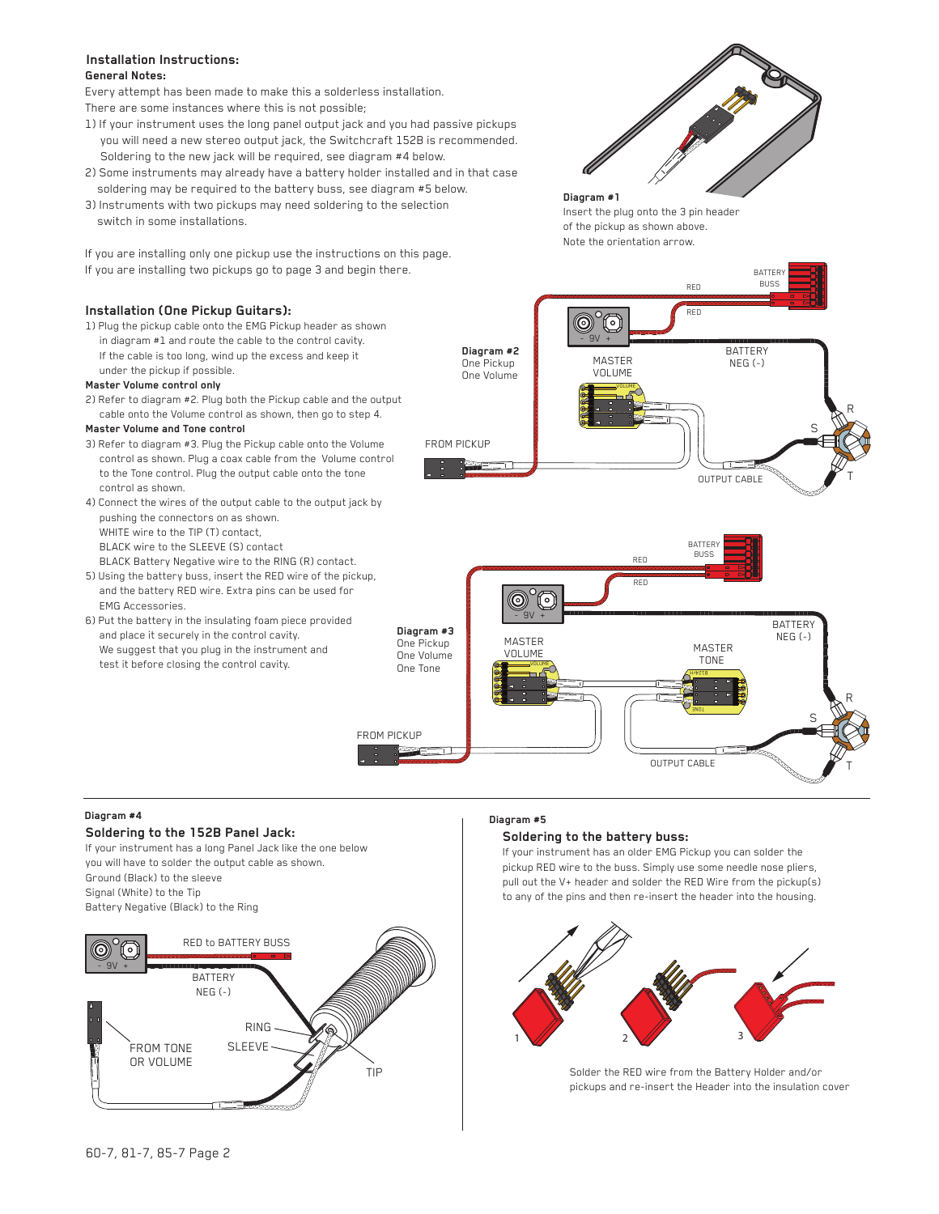#### **General Notes: Installation Instructions:**

Every attempt has been made to make this a solderless installation.

There are some instances where this is not possible;

- 1) If your instrument uses the long panel output jack and you had passive pickups you will need a new stereo output jack, the Switchcraft 152B is recommended. Soldering to the new jack will be required, see diagram #4 below.
- 2) Some instruments may already have a battery holder installed and in that case soldering may be required to the battery buss, see diagram #5 below.
- 3) Instruments with two pickups may need soldering to the selection switch in some installations.

If you are installing only one pickup use the instructions on this page. If you are installing two pickups go to page 3 and begin there.

## **Installation (One Pickup Guitars):**

1) Plug the pickup cable onto the EMG Pickup header as shown in diagram #1 and route the cable to the control cavity. If the cable is too long, wind up the excess and keep it under the pickup if possible.

#### **Master Volume control only**

2) Refer to diagram #2. Plug both the Pickup cable and the output cable onto the Volume control as shown, then go to step 4.

#### **Master Volume and Tone control**

- 3) Refer to diagram #3. Plug the Pickup cable onto the Volume control as shown. Plug a coax cable from the Volume control to the Tone control. Plug the output cable onto the tone control as shown.
- 4) Connect the wires of the output cable to the output jack by pushing the connectors on as shown. WHITE wire to the TIP (T) contact, BLACK wire to the SLEEVE (S) contact BLACK Battery Negative wire to the RING (R) contact.
- 5) Using the battery buss, insert the RED wire of the pickup, and the battery RED wire. Extra pins can be used for EMG Accessories.
- 6) Put the battery in the insulating foam piece provided and place it securely in the control cavity. We suggest that you plug in the instrument and test it before closing the control cavity.

RED RED  $\circledcirc$  $^{\circ}$ n  $-9V +$ **Diagram #3** One Pickup MASTER One Volume VOLUME One Tone VOLUME  $\overline{\phantom{a}}$ 

**Diagram #2** One Pickup One Volume

FROM PICKUP

FROM PICKUP

## **Diagram #4**

#### **Soldering to the 152B Panel Jack:**

If your instrument has a long Panel Jack like the one below you will have to solder the output cable as shown. Ground (Black) to the sleeve Signal (White) to the Tip Battery Negative (Black) to the Ring



### **Diagram #5**

#### **Soldering to the battery buss:**

If your instrument has an older EMG Pickup you can solder the pickup RED wire to the buss. Simply use some needle nose pliers, pull out the V+ header and solder the RED Wire from the pickup(s) to any of the pins and then re-insert the header into the housing.

**HJDZTS** 

OUTPUT CABLE

**BATTER** BUSS<sup></sup>

OUTPUT CABLE

MASTER TONE

T

T

R

S

**BATTERY** NEG (-)

R

S

BATTERY NEG (-)

**BATTER** BUSS



Solder the RED wire from the Battery Holder and/or pickups and re-insert the Header into the insulation cover



RED RED

#### **Diagram #1** Insert the plug onto the 3 pin header of the pickup as shown above. Note the orientation arrow.

VOLUME

MASTER VOLUME

 $-9V +$ 

 $\circledcirc$ 0

<u>P12</u>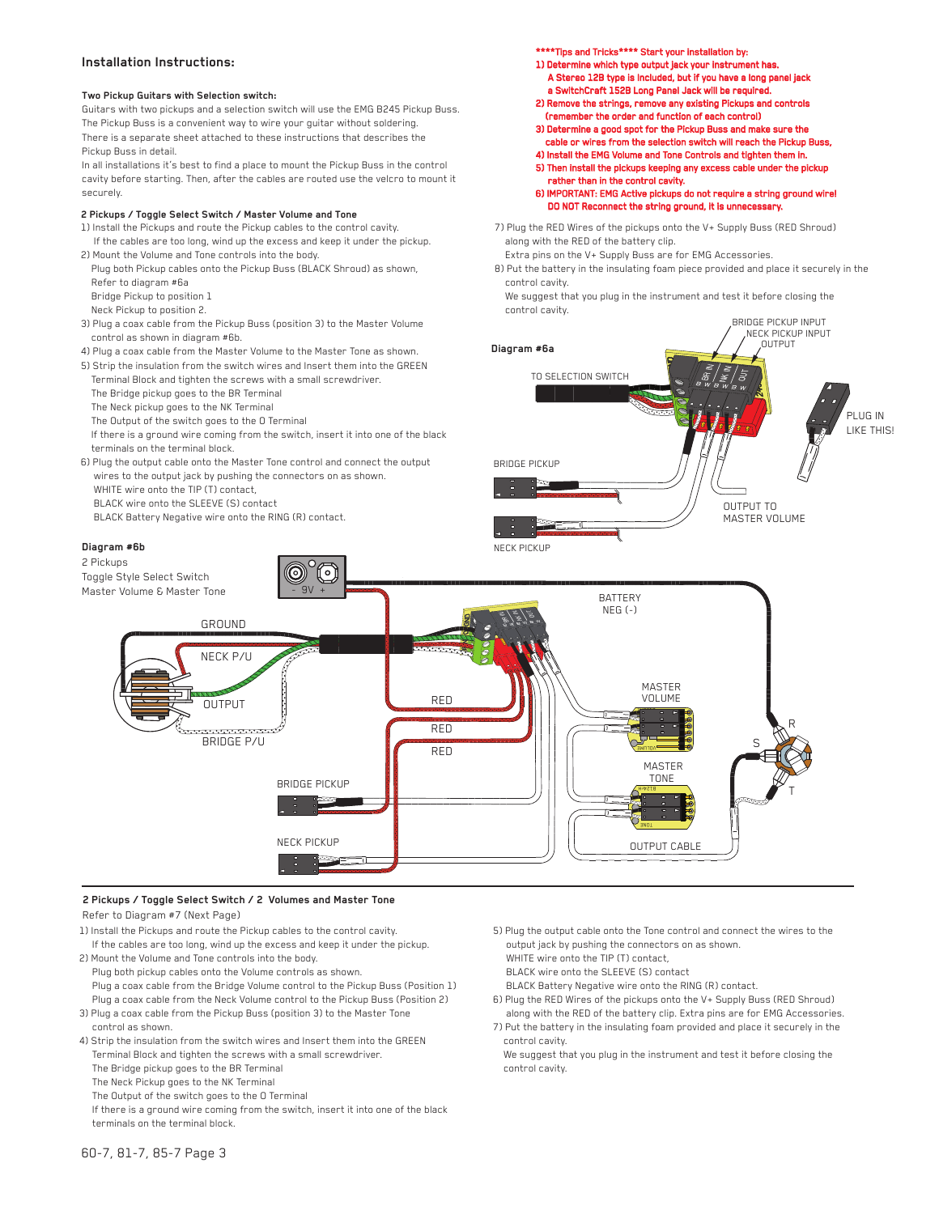#### **Installation Instructions:**

#### **Two Pickup Guitars with Selection switch:**

Guitars with two pickups and a selection switch will use the EMG B245 Pickup Buss. The Pickup Buss is a convenient way to wire your guitar without soldering. There is a separate sheet attached to these instructions that describes the Pickup Buss in detail.

In all installations it's best to find a place to mount the Pickup Buss in the control cavity before starting. Then, after the cables are routed use the velcro to mount it securely.

#### **2 Pickups / Toggle Select Switch / Master Volume and Tone**

- 1) Install the Pickups and route the Pickup cables to the control cavity. If the cables are too long, wind up the excess and keep it under the pickup.
- 2) Mount the Volume and Tone controls into the body.
- Plug both Pickup cables onto the Pickup Buss (BLACK Shroud) as shown, Refer to diagram #6a
- Bridge Pickup to position 1
- Neck Pickup to position 2.
- 3) Plug a coax cable from the Pickup Buss (position 3) to the Master Volume control as shown in diagram #6b.
- 4) Plug a coax cable from the Master Volume to the Master Tone as shown.
- 5) Strip the insulation from the switch wires and Insert them into the GREEN Terminal Block and tighten the screws with a small screwdriver.
- The Bridge pickup goes to the BR Terminal
- The Neck pickup goes to the NK Terminal
- The Output of the switch goes to the O Terminal
- If there is a ground wire coming from the switch, insert it into one of the black terminals on the terminal block.
- 6) Plug the output cable onto the Master Tone control and connect the output wires to the output jack by pushing the connectors on as shown. WHITE wire onto the TIP (T) contact,
- BLACK wire onto the SLEEVE (S) contact
- BLACK Battery Negative wire onto the RING (R) contact.

#### **Diagram #6b**

\*\*\*\*Tips and Tricks\*\*\*\* Start your installation by: 1) Determine which type output jack your instrument has.

- A Stereo 12B type is Included, but if you have a long panel a SwitchCraft 152B Long Panel Jack will be required.
- 2) Remove the strings, remove any existing Pickups and contro (remember the order and function of each control)
- 3) Determine a good spot for the Pickup Buss and make sure the
- cable or wires from the selection switch will reach the Pickup Bus
- 4) Install the EMG Volume and Tone Controls and tighten them in. 5) Then install the pickups keeping any excess cable under the pickup
- rather than in the control cavity.

6) IMPORTANT: EMG Active pickups do not require a string ground wire! DO NOT Reconnect the string ground, it is unnecessary.

7) Plug the RED Wires of the pickups onto the V+ Supply Buss (RED Shroud) along with the RED of the battery clip.

Extra pins on the V+ Supply Buss are for EMG Accessories.

- 8) Put the battery in the insulating foam piece provided and place it securely in the control cavity. We suggest that you plug in the instrument and test it before closing the
- BRIDGE PICKUP INPUT control cavity.





#### **2 Pickups / Toggle Select Switch / 2 Volumes and Master Tone** Refer to Diagram #7 (Next Page)

- 
- 1) Install the Pickups and route the Pickup cables to the control cavity. If the cables are too long, wind up the excess and keep it under the pickup.
- 2) Mount the Volume and Tone controls into the body. Plug both pickup cables onto the Volume controls as shown. Plug a coax cable from the Bridge Volume control to the Pickup Buss (Position 1) Plug a coax cable from the Neck Volume control to the Pickup Buss (Position 2)
- 3) Plug a coax cable from the Pickup Buss (position 3) to the Master Tone control as shown.
- 4) Strip the insulation from the switch wires and Insert them into the GREEN Terminal Block and tighten the screws with a small screwdriver.
	- The Bridge pickup goes to the BR Terminal
	- The Neck Pickup goes to the NK Terminal
	- The Output of the switch goes to the O Terminal
	- If there is a ground wire coming from the switch, insert it into one of the black terminals on the terminal block.
- 5) Plug the output cable onto the Tone control and connect the wires to the output jack by pushing the connectors on as shown.
- WHITE wire onto the TIP (T) contact,
- BLACK wire onto the SLEEVE (S) contact
- BLACK Battery Negative wire onto the RING (R) contact.
- 6) Plug the RED Wires of the pickups onto the V+ Supply Buss (RED Shroud) along with the RED of the battery clip. Extra pins are for EMG Accessories. 7) Put the battery in the insulating foam provided and place it securely in the
- control cavity. We suggest that you plug in the instrument and test it before closing the
- control cavity.